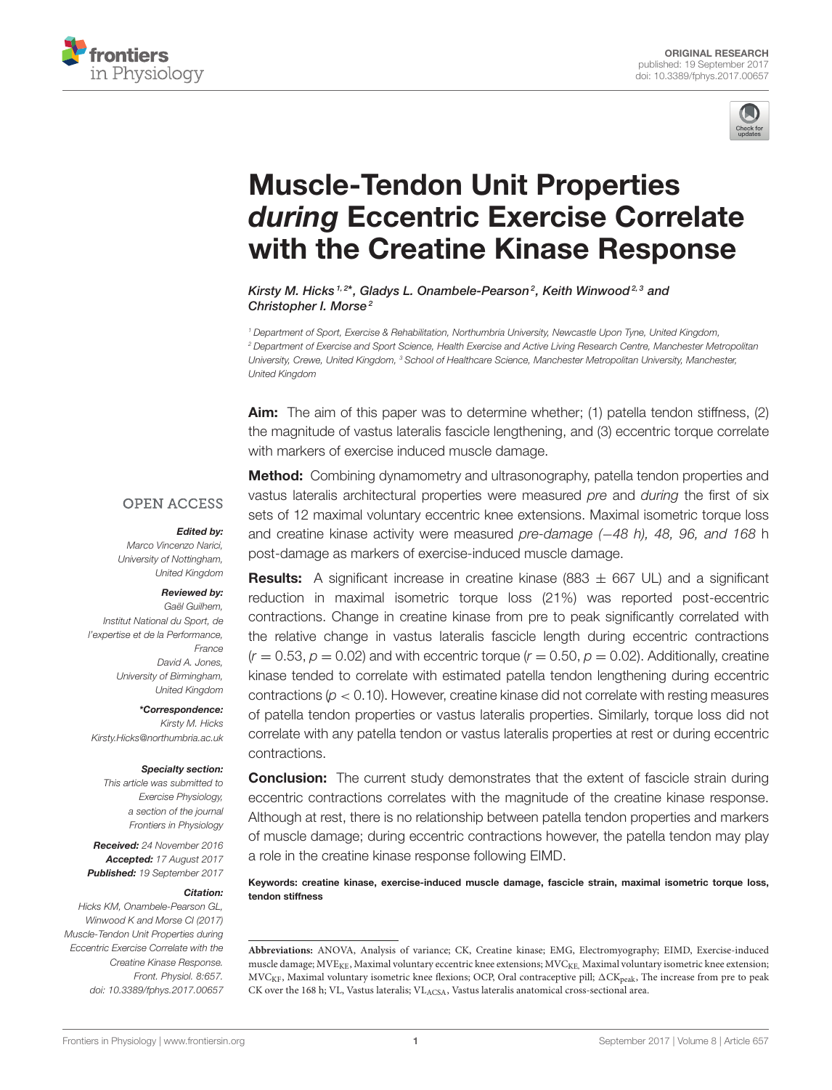



# Muscle-Tendon Unit Properties during Eccentric Exercise Correlate [with the Creatine Kinase Response](http://journal.frontiersin.org/article/10.3389/fphys.2017.00657/abstract)

[Kirsty M. Hicks](http://loop.frontiersin.org/people/394618/overview)<sup>1,2\*</sup>, [Gladys L. Onambele-Pearson](http://loop.frontiersin.org/people/473713/overview)<sup>2</sup>, [Keith Winwood](http://loop.frontiersin.org/people/471044/overview)<sup>2,3</sup> and [Christopher I. Morse](http://loop.frontiersin.org/people/471026/overview)<sup>2</sup>

<sup>1</sup> Department of Sport, Exercise & Rehabilitation, Northumbria University, Newcastle Upon Tyne, United Kingdom, <sup>2</sup> Department of Exercise and Sport Science, Health Exercise and Active Living Research Centre, Manchester Metropolitan University, Crewe, United Kingdom, <sup>3</sup> School of Healthcare Science, Manchester Metropolitan University, Manchester, United Kingdom

Aim: The aim of this paper was to determine whether; (1) patella tendon stiffness, (2) the magnitude of vastus lateralis fascicle lengthening, and (3) eccentric torque correlate with markers of exercise induced muscle damage.

#### **OPEN ACCESS**

#### Edited by:

Marco Vincenzo Narici, University of Nottingham, United Kingdom

#### Reviewed by:

Gaël Guilhem, Institut National du Sport, de l'expertise et de la Performance, France David A. Jones, University of Birmingham, United Kingdom

\*Correspondence:

Kirsty M. Hicks [Kirsty.Hicks@northumbria.ac.uk](mailto:Kirsty.Hicks@northumbria.ac.uk)

#### Specialty section:

This article was submitted to Exercise Physiology, a section of the journal Frontiers in Physiology

Received: 24 November 2016 Accepted: 17 August 2017 Published: 19 September 2017

#### Citation:

Hicks KM, Onambele-Pearson GL, Winwood K and Morse CI (2017) Muscle-Tendon Unit Properties during Eccentric Exercise Correlate with the Creatine Kinase Response. Front. Physiol. 8:657. doi: [10.3389/fphys.2017.00657](https://doi.org/10.3389/fphys.2017.00657) Method: Combining dynamometry and ultrasonography, patella tendon properties and vastus lateralis architectural properties were measured pre and during the first of six sets of 12 maximal voluntary eccentric knee extensions. Maximal isometric torque loss and creatine kinase activity were measured pre-damage (−48 h), 48, 96, and 168 h post-damage as markers of exercise-induced muscle damage.

**Results:** A significant increase in creatine kinase (883  $\pm$  667 UL) and a significant reduction in maximal isometric torque loss (21%) was reported post-eccentric contractions. Change in creatine kinase from pre to peak significantly correlated with the relative change in vastus lateralis fascicle length during eccentric contractions  $(r = 0.53, p = 0.02)$  and with eccentric torque  $(r = 0.50, p = 0.02)$ . Additionally, creatine kinase tended to correlate with estimated patella tendon lengthening during eccentric contractions (p < 0.10). However, creatine kinase did not correlate with resting measures of patella tendon properties or vastus lateralis properties. Similarly, torque loss did not correlate with any patella tendon or vastus lateralis properties at rest or during eccentric contractions.

**Conclusion:** The current study demonstrates that the extent of fascicle strain during eccentric contractions correlates with the magnitude of the creatine kinase response. Although at rest, there is no relationship between patella tendon properties and markers of muscle damage; during eccentric contractions however, the patella tendon may play a role in the creatine kinase response following EIMD.

Keywords: creatine kinase, exercise-induced muscle damage, fascicle strain, maximal isometric torque loss, tendon stiffness

**Abbreviations:** ANOVA, Analysis of variance; CK, Creatine kinase; EMG, Electromyography; EIMD, Exercise-induced muscle damage;  $MVE_{KF}$ , Maximal voluntary eccentric knee extensions;  $MVC_{KF}$ , Maximal voluntary isometric knee extension; MVC<sub>KF</sub>, Maximal voluntary isometric knee flexions; OCP, Oral contraceptive pill;  $\Delta$ CK<sub>peak</sub>, The increase from pre to peak CK over the 168 h; VL, Vastus lateralis; VLACSA, Vastus lateralis anatomical cross-sectional area.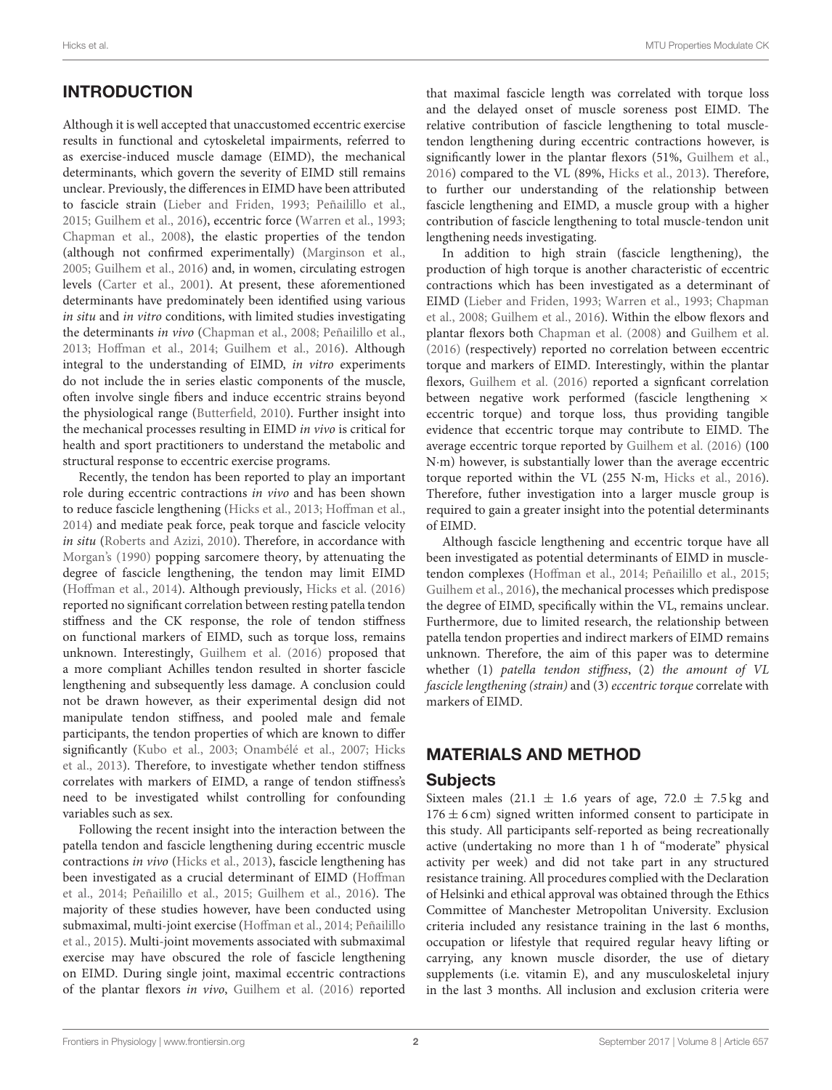# INTRODUCTION

Although it is well accepted that unaccustomed eccentric exercise results in functional and cytoskeletal impairments, referred to as exercise-induced muscle damage (EIMD), the mechanical determinants, which govern the severity of EIMD still remains unclear. Previously, the differences in EIMD have been attributed to fascicle strain [\(Lieber and Friden, 1993;](#page-9-0) [Peñailillo et al.,](#page-10-0) [2015;](#page-10-0) [Guilhem et al., 2016\)](#page-9-1), eccentric force [\(Warren et al., 1993;](#page-10-1) [Chapman et al., 2008\)](#page-9-2), the elastic properties of the tendon (although not confirmed experimentally) [\(Marginson et al.,](#page-10-2) [2005;](#page-10-2) [Guilhem et al., 2016\)](#page-9-1) and, in women, circulating estrogen levels [\(Carter et al., 2001\)](#page-9-3). At present, these aforementioned determinants have predominately been identified using various in situ and in vitro conditions, with limited studies investigating the determinants in vivo [\(Chapman et al., 2008;](#page-9-2) [Peñailillo et al.,](#page-10-3) [2013;](#page-10-3) [Hoffman et al., 2014;](#page-9-4) [Guilhem et al., 2016\)](#page-9-1). Although integral to the understanding of EIMD, in vitro experiments do not include the in series elastic components of the muscle, often involve single fibers and induce eccentric strains beyond the physiological range [\(Butterfield, 2010\)](#page-9-5). Further insight into the mechanical processes resulting in EIMD in vivo is critical for health and sport practitioners to understand the metabolic and structural response to eccentric exercise programs.

Recently, the tendon has been reported to play an important role during eccentric contractions in vivo and has been shown to reduce fascicle lengthening [\(Hicks et al., 2013;](#page-9-6) [Hoffman et al.,](#page-9-4) [2014\)](#page-9-4) and mediate peak force, peak torque and fascicle velocity in situ [\(Roberts and Azizi, 2010\)](#page-10-4). Therefore, in accordance with [Morgan's \(1990\)](#page-10-5) popping sarcomere theory, by attenuating the degree of fascicle lengthening, the tendon may limit EIMD [\(Hoffman et al., 2014\)](#page-9-4). Although previously, [Hicks et al. \(2016\)](#page-9-7) reported no significant correlation between resting patella tendon stiffness and the CK response, the role of tendon stiffness on functional markers of EIMD, such as torque loss, remains unknown. Interestingly, [Guilhem et al. \(2016\)](#page-9-1) proposed that a more compliant Achilles tendon resulted in shorter fascicle lengthening and subsequently less damage. A conclusion could not be drawn however, as their experimental design did not manipulate tendon stiffness, and pooled male and female participants, the tendon properties of which are known to differ significantly [\(Kubo et al., 2003;](#page-9-8) [Onambélé et al., 2007;](#page-10-6) Hicks et al., [2013\)](#page-9-6). Therefore, to investigate whether tendon stiffness correlates with markers of EIMD, a range of tendon stiffness's need to be investigated whilst controlling for confounding variables such as sex.

Following the recent insight into the interaction between the patella tendon and fascicle lengthening during eccentric muscle contractions in vivo [\(Hicks et al., 2013\)](#page-9-6), fascicle lengthening has been investigated as a crucial determinant of EIMD (Hoffman et al., [2014;](#page-9-4) [Peñailillo et al., 2015;](#page-10-0) [Guilhem et al., 2016\)](#page-9-1). The majority of these studies however, have been conducted using submaximal, multi-joint exercise [\(Hoffman et al., 2014;](#page-9-4) Peñailillo et al., [2015\)](#page-10-0). Multi-joint movements associated with submaximal exercise may have obscured the role of fascicle lengthening on EIMD. During single joint, maximal eccentric contractions of the plantar flexors in vivo, [Guilhem et al. \(2016\)](#page-9-1) reported that maximal fascicle length was correlated with torque loss and the delayed onset of muscle soreness post EIMD. The relative contribution of fascicle lengthening to total muscletendon lengthening during eccentric contractions however, is significantly lower in the plantar flexors (51%, [Guilhem et al.,](#page-9-1) [2016\)](#page-9-1) compared to the VL (89%, [Hicks et al., 2013\)](#page-9-6). Therefore, to further our understanding of the relationship between fascicle lengthening and EIMD, a muscle group with a higher contribution of fascicle lengthening to total muscle-tendon unit lengthening needs investigating.

In addition to high strain (fascicle lengthening), the production of high torque is another characteristic of eccentric contractions which has been investigated as a determinant of EIMD [\(Lieber and Friden, 1993;](#page-9-0) [Warren et al., 1993;](#page-10-1) Chapman et al., [2008;](#page-9-2) [Guilhem et al., 2016\)](#page-9-1). Within the elbow flexors and plantar flexors both [Chapman et al. \(2008\)](#page-9-2) and [Guilhem et al.](#page-9-1) [\(2016\)](#page-9-1) (respectively) reported no correlation between eccentric torque and markers of EIMD. Interestingly, within the plantar flexors, [Guilhem et al. \(2016\)](#page-9-1) reported a signficant correlation between negative work performed (fascicle lengthening  $\times$ eccentric torque) and torque loss, thus providing tangible evidence that eccentric torque may contribute to EIMD. The average eccentric torque reported by [Guilhem et al. \(2016\)](#page-9-1) (100 N·m) however, is substantially lower than the average eccentric torque reported within the VL (255 N·m, [Hicks et al., 2016\)](#page-9-7). Therefore, futher investigation into a larger muscle group is required to gain a greater insight into the potential determinants of EIMD.

Although fascicle lengthening and eccentric torque have all been investigated as potential determinants of EIMD in muscletendon complexes [\(Hoffman et al., 2014;](#page-9-4) [Peñailillo et al., 2015;](#page-10-0) [Guilhem et al., 2016\)](#page-9-1), the mechanical processes which predispose the degree of EIMD, specifically within the VL, remains unclear. Furthermore, due to limited research, the relationship between patella tendon properties and indirect markers of EIMD remains unknown. Therefore, the aim of this paper was to determine whether (1) patella tendon stiffness, (2) the amount of VL fascicle lengthening (strain) and (3) eccentric torque correlate with markers of EIMD.

### MATERIALS AND METHOD

#### Subjects

Sixteen males (21.1  $\pm$  1.6 years of age, 72.0  $\pm$  7.5 kg and  $176 \pm 6$  cm) signed written informed consent to participate in this study. All participants self-reported as being recreationally active (undertaking no more than 1 h of "moderate" physical activity per week) and did not take part in any structured resistance training. All procedures complied with the Declaration of Helsinki and ethical approval was obtained through the Ethics Committee of Manchester Metropolitan University. Exclusion criteria included any resistance training in the last 6 months, occupation or lifestyle that required regular heavy lifting or carrying, any known muscle disorder, the use of dietary supplements (i.e. vitamin E), and any musculoskeletal injury in the last 3 months. All inclusion and exclusion criteria were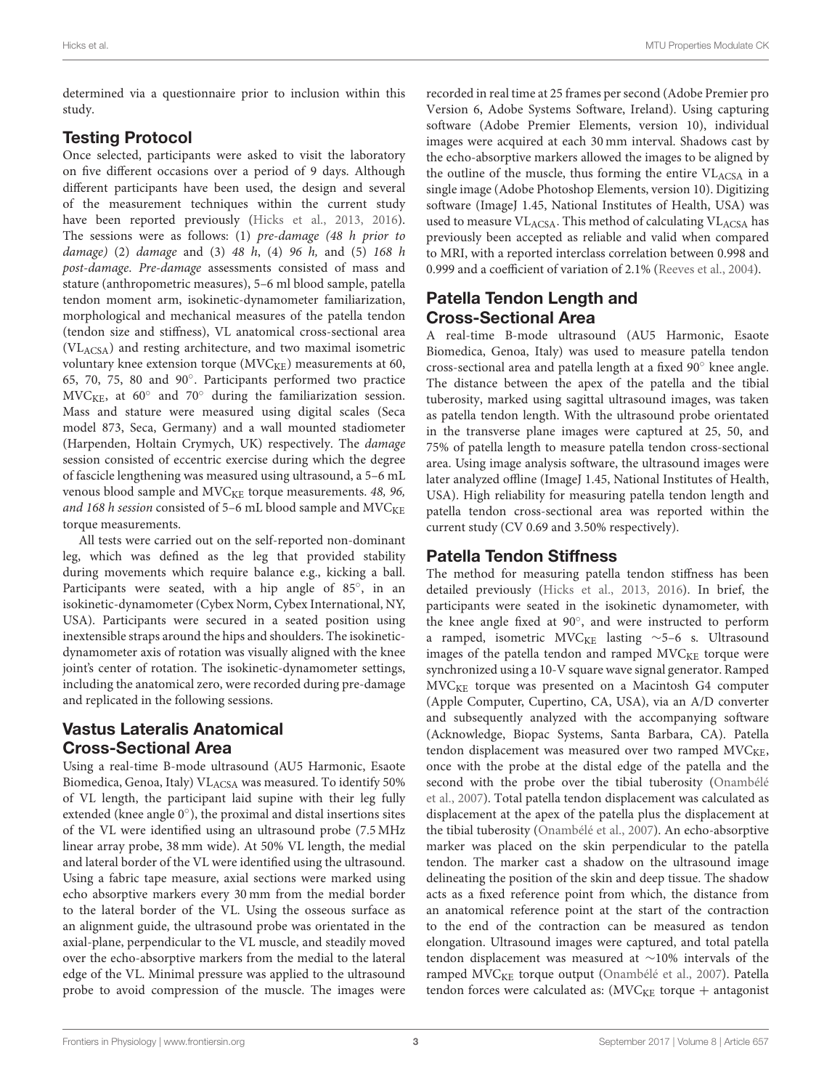determined via a questionnaire prior to inclusion within this study.

#### Testing Protocol

Once selected, participants were asked to visit the laboratory on five different occasions over a period of 9 days. Although different participants have been used, the design and several of the measurement techniques within the current study have been reported previously [\(Hicks et al., 2013,](#page-9-6) [2016\)](#page-9-7). The sessions were as follows: (1) pre-damage (48 h prior to damage) (2) damage and (3) 48 h, (4) 96 h, and (5) 168 h post-damage. Pre-damage assessments consisted of mass and stature (anthropometric measures), 5–6 ml blood sample, patella tendon moment arm, isokinetic-dynamometer familiarization, morphological and mechanical measures of the patella tendon (tendon size and stiffness), VL anatomical cross-sectional area (VLACSA) and resting architecture, and two maximal isometric voluntary knee extension torque (MVC<sub>KE</sub>) measurements at 60, 65, 70, 75, 80 and 90◦ . Participants performed two practice  $MVC<sub>KE</sub>$ , at 60° and 70° during the familiarization session. Mass and stature were measured using digital scales (Seca model 873, Seca, Germany) and a wall mounted stadiometer (Harpenden, Holtain Crymych, UK) respectively. The damage session consisted of eccentric exercise during which the degree of fascicle lengthening was measured using ultrasound, a 5–6 mL venous blood sample and MVC<sub>KE</sub> torque measurements. 48, 96, and 168 h session consisted of 5–6 mL blood sample and  $MVC<sub>KE</sub>$ torque measurements.

All tests were carried out on the self-reported non-dominant leg, which was defined as the leg that provided stability during movements which require balance e.g., kicking a ball. Participants were seated, with a hip angle of 85°, in an isokinetic-dynamometer (Cybex Norm, Cybex International, NY, USA). Participants were secured in a seated position using inextensible straps around the hips and shoulders. The isokineticdynamometer axis of rotation was visually aligned with the knee joint's center of rotation. The isokinetic-dynamometer settings, including the anatomical zero, were recorded during pre-damage and replicated in the following sessions.

# Vastus Lateralis Anatomical Cross-Sectional Area

Using a real-time B-mode ultrasound (AU5 Harmonic, Esaote Biomedica, Genoa, Italy) VLACSA was measured. To identify 50% of VL length, the participant laid supine with their leg fully extended (knee angle 0°), the proximal and distal insertions sites of the VL were identified using an ultrasound probe (7.5 MHz linear array probe, 38 mm wide). At 50% VL length, the medial and lateral border of the VL were identified using the ultrasound. Using a fabric tape measure, axial sections were marked using echo absorptive markers every 30 mm from the medial border to the lateral border of the VL. Using the osseous surface as an alignment guide, the ultrasound probe was orientated in the axial-plane, perpendicular to the VL muscle, and steadily moved over the echo-absorptive markers from the medial to the lateral edge of the VL. Minimal pressure was applied to the ultrasound probe to avoid compression of the muscle. The images were recorded in real time at 25 frames per second (Adobe Premier pro Version 6, Adobe Systems Software, Ireland). Using capturing software (Adobe Premier Elements, version 10), individual images were acquired at each 30 mm interval. Shadows cast by the echo-absorptive markers allowed the images to be aligned by the outline of the muscle, thus forming the entire  $VL_{ACSA}$  in a single image (Adobe Photoshop Elements, version 10). Digitizing software (ImageJ 1.45, National Institutes of Health, USA) was used to measure  $VL_{ACSA}$ . This method of calculating  $VL_{ACSA}$  has previously been accepted as reliable and valid when compared to MRI, with a reported interclass correlation between 0.998 and 0.999 and a coefficient of variation of 2.1% [\(Reeves et al., 2004\)](#page-10-7).

# Patella Tendon Length and Cross-Sectional Area

A real-time B-mode ultrasound (AU5 Harmonic, Esaote Biomedica, Genoa, Italy) was used to measure patella tendon cross-sectional area and patella length at a fixed 90◦ knee angle. The distance between the apex of the patella and the tibial tuberosity, marked using sagittal ultrasound images, was taken as patella tendon length. With the ultrasound probe orientated in the transverse plane images were captured at 25, 50, and 75% of patella length to measure patella tendon cross-sectional area. Using image analysis software, the ultrasound images were later analyzed offline (ImageJ 1.45, National Institutes of Health, USA). High reliability for measuring patella tendon length and patella tendon cross-sectional area was reported within the current study (CV 0.69 and 3.50% respectively).

### Patella Tendon Stiffness

The method for measuring patella tendon stiffness has been detailed previously [\(Hicks et al., 2013,](#page-9-6) [2016\)](#page-9-7). In brief, the participants were seated in the isokinetic dynamometer, with the knee angle fixed at 90◦ , and were instructed to perform a ramped, isometric MVC<sub>KE</sub> lasting ~5-6 s. Ultrasound images of the patella tendon and ramped  $MVC<sub>KE</sub>$  torque were synchronized using a 10-V square wave signal generator. Ramped MVCKE torque was presented on a Macintosh G4 computer (Apple Computer, Cupertino, CA, USA), via an A/D converter and subsequently analyzed with the accompanying software (Acknowledge, Biopac Systems, Santa Barbara, CA). Patella tendon displacement was measured over two ramped  $MVC<sub>KE</sub>$ , once with the probe at the distal edge of the patella and the second with the probe over the tibial tuberosity (Onambélé et al., [2007\)](#page-10-6). Total patella tendon displacement was calculated as displacement at the apex of the patella plus the displacement at the tibial tuberosity [\(Onambélé et al., 2007\)](#page-10-6). An echo-absorptive marker was placed on the skin perpendicular to the patella tendon. The marker cast a shadow on the ultrasound image delineating the position of the skin and deep tissue. The shadow acts as a fixed reference point from which, the distance from an anatomical reference point at the start of the contraction to the end of the contraction can be measured as tendon elongation. Ultrasound images were captured, and total patella tendon displacement was measured at ∼10% intervals of the ramped MVC<sub>KE</sub> torque output [\(Onambélé et al., 2007\)](#page-10-6). Patella tendon forces were calculated as:  $(MVC<sub>KE</sub>$  torque + antagonist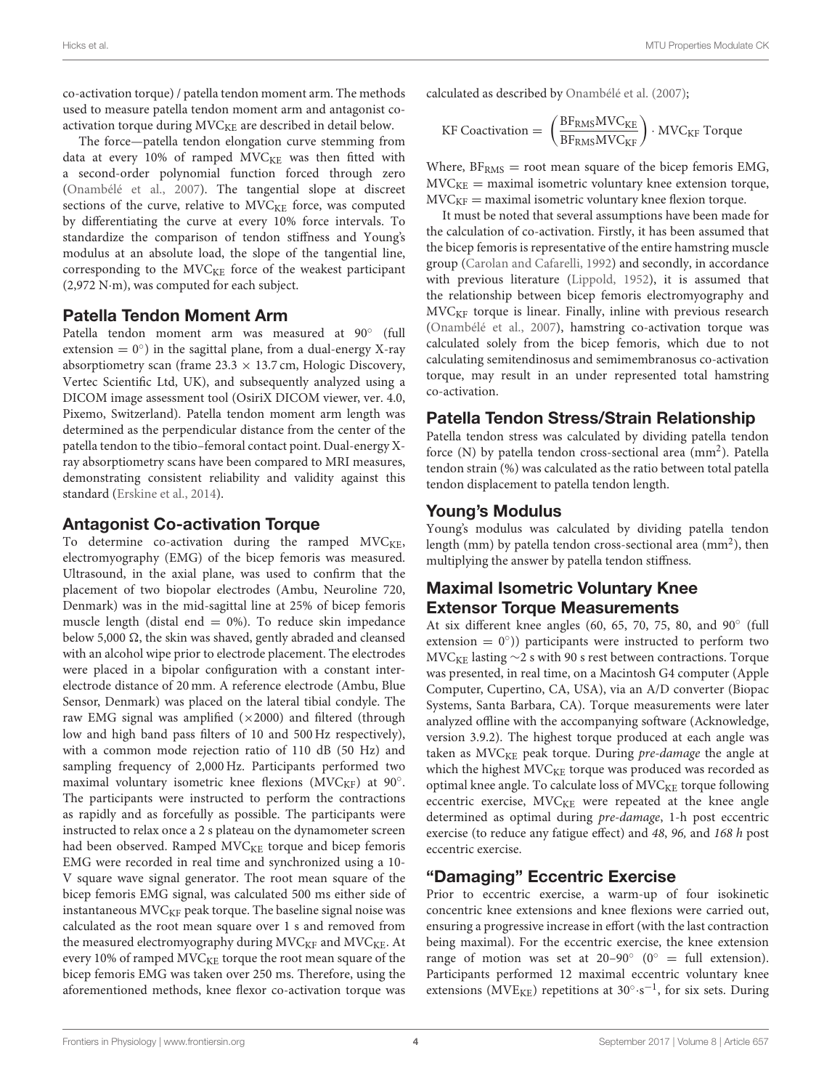co-activation torque) / patella tendon moment arm. The methods used to measure patella tendon moment arm and antagonist coactivation torque during MVC<sub>KE</sub> are described in detail below.

The force—patella tendon elongation curve stemming from data at every  $10\%$  of ramped  $MVC_{KE}$  was then fitted with a second-order polynomial function forced through zero [\(Onambélé et al., 2007\)](#page-10-6). The tangential slope at discreet sections of the curve, relative to  $MVC<sub>KE</sub>$  force, was computed by differentiating the curve at every 10% force intervals. To standardize the comparison of tendon stiffness and Young's modulus at an absolute load, the slope of the tangential line, corresponding to the MVC<sub>KE</sub> force of the weakest participant (2,972 N·m), was computed for each subject.

#### Patella Tendon Moment Arm

Patella tendon moment arm was measured at 90° (full extension  $= 0^{\circ}$ ) in the sagittal plane, from a dual-energy X-ray absorptiometry scan (frame  $23.3 \times 13.7$  cm, Hologic Discovery, Vertec Scientific Ltd, UK), and subsequently analyzed using a DICOM image assessment tool (OsiriX DICOM viewer, ver. 4.0, Pixemo, Switzerland). Patella tendon moment arm length was determined as the perpendicular distance from the center of the patella tendon to the tibio–femoral contact point. Dual-energy Xray absorptiometry scans have been compared to MRI measures, demonstrating consistent reliability and validity against this standard [\(Erskine et al., 2014\)](#page-9-9).

#### Antagonist Co-activation Torque

To determine co-activation during the ramped MVC<sub>KE</sub>, electromyography (EMG) of the bicep femoris was measured. Ultrasound, in the axial plane, was used to confirm that the placement of two biopolar electrodes (Ambu, Neuroline 720, Denmark) was in the mid-sagittal line at 25% of bicep femoris muscle length (distal end  $= 0\%$ ). To reduce skin impedance below 5,000  $\Omega$ , the skin was shaved, gently abraded and cleansed with an alcohol wipe prior to electrode placement. The electrodes were placed in a bipolar configuration with a constant interelectrode distance of 20 mm. A reference electrode (Ambu, Blue Sensor, Denmark) was placed on the lateral tibial condyle. The raw EMG signal was amplified  $(\times 2000)$  and filtered (through low and high band pass filters of 10 and 500 Hz respectively), with a common mode rejection ratio of 110 dB (50 Hz) and sampling frequency of 2,000 Hz. Participants performed two maximal voluntary isometric knee flexions ( $MVC_{KF}$ ) at 90°. The participants were instructed to perform the contractions as rapidly and as forcefully as possible. The participants were instructed to relax once a 2 s plateau on the dynamometer screen had been observed. Ramped MVC<sub>KE</sub> torque and bicep femoris EMG were recorded in real time and synchronized using a 10- V square wave signal generator. The root mean square of the bicep femoris EMG signal, was calculated 500 ms either side of instantaneous  $MVC<sub>KF</sub>$  peak torque. The baseline signal noise was calculated as the root mean square over 1 s and removed from the measured electromyography during  $MVC_{KF}$  and  $MVC_{KE}$ . At every 10% of ramped MVC<sub>KE</sub> torque the root mean square of the bicep femoris EMG was taken over 250 ms. Therefore, using the aforementioned methods, knee flexor co-activation torque was calculated as described by [Onambélé et al. \(2007\)](#page-10-6);

$$
\text{KF Coactivation} = \left(\frac{\text{BF}_{\text{RMS}}\text{MVC}_{\text{KE}}}{\text{BF}_{\text{RMS}}\text{MVC}_{\text{KF}}}\right) \cdot \text{MVC}_{\text{KF}} \text{ Torque}
$$

Where,  $BF<sub>RMS</sub> = root mean square of the bicep femoris EMG,$  $MVC<sub>KE</sub>$  = maximal isometric voluntary knee extension torque,  $MVC<sub>KF</sub> =$  maximal isometric voluntary knee flexion torque.

It must be noted that several assumptions have been made for the calculation of co-activation. Firstly, it has been assumed that the bicep femoris is representative of the entire hamstring muscle group [\(Carolan and Cafarelli, 1992\)](#page-9-10) and secondly, in accordance with previous literature [\(Lippold, 1952\)](#page-9-11), it is assumed that the relationship between bicep femoris electromyography and  $MVC<sub>KF</sub>$  torque is linear. Finally, inline with previous research [\(Onambélé et al., 2007\)](#page-10-6), hamstring co-activation torque was calculated solely from the bicep femoris, which due to not calculating semitendinosus and semimembranosus co-activation torque, may result in an under represented total hamstring co-activation.

#### Patella Tendon Stress/Strain Relationship

Patella tendon stress was calculated by dividing patella tendon force (N) by patella tendon cross-sectional area (mm<sup>2</sup>). Patella tendon strain (%) was calculated as the ratio between total patella tendon displacement to patella tendon length.

#### Young's Modulus

Young's modulus was calculated by dividing patella tendon length (mm) by patella tendon cross-sectional area (mm<sup>2</sup>), then multiplying the answer by patella tendon stiffness.

#### Maximal Isometric Voluntary Knee Extensor Torque Measurements

At six different knee angles (60, 65, 70, 75, 80, and 90° (full extension =  $0^{\circ}$ )) participants were instructed to perform two MVC<sub>KE</sub> lasting  $\sim$ 2 s with 90 s rest between contractions. Torque was presented, in real time, on a Macintosh G4 computer (Apple Computer, Cupertino, CA, USA), via an A/D converter (Biopac Systems, Santa Barbara, CA). Torque measurements were later analyzed offline with the accompanying software (Acknowledge, version 3.9.2). The highest torque produced at each angle was taken as  $MVC<sub>KE</sub>$  peak torque. During pre-damage the angle at which the highest MVC<sub>KE</sub> torque was produced was recorded as optimal knee angle. To calculate loss of MVC<sub>KE</sub> torque following eccentric exercise,  $MVC<sub>KE</sub>$  were repeated at the knee angle determined as optimal during pre-damage, 1-h post eccentric exercise (to reduce any fatigue effect) and 48, 96, and 168 h post eccentric exercise.

### "Damaging" Eccentric Exercise

Prior to eccentric exercise, a warm-up of four isokinetic concentric knee extensions and knee flexions were carried out, ensuring a progressive increase in effort (with the last contraction being maximal). For the eccentric exercise, the knee extension range of motion was set at 20-90 $\degree$  (0 $\degree$  = full extension). Participants performed 12 maximal eccentric voluntary knee extensions ( $\text{MVE}_{\text{KE}}$ ) repetitions at 30°·s<sup>-1</sup>, for six sets. During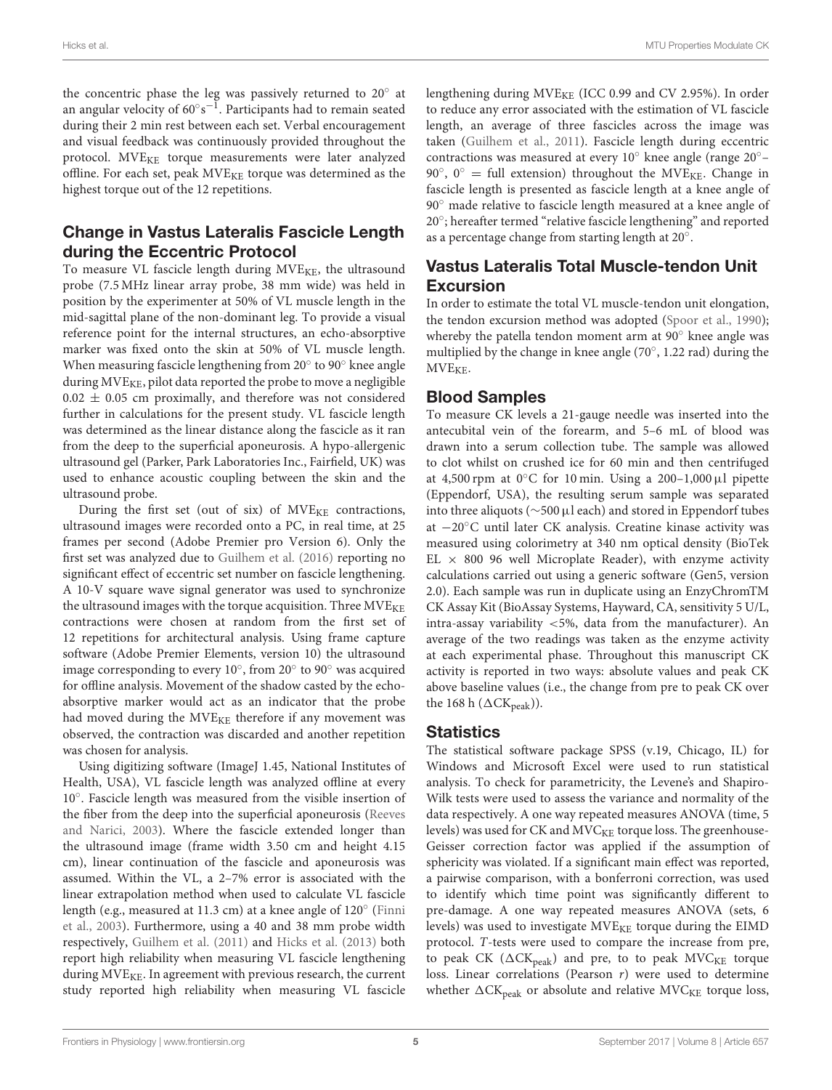the concentric phase the leg was passively returned to  $20^\circ$  at an angular velocity of 60 $^{\circ}$ s $^{-1}$ . Participants had to remain seated during their 2 min rest between each set. Verbal encouragement and visual feedback was continuously provided throughout the protocol. MVE<sub>KE</sub> torque measurements were later analyzed offline. For each set, peak  $MVE_{KE}$  torque was determined as the highest torque out of the 12 repetitions.

# Change in Vastus Lateralis Fascicle Length during the Eccentric Protocol

To measure VL fascicle length during  $MVE_{KE}$ , the ultrasound probe (7.5 MHz linear array probe, 38 mm wide) was held in position by the experimenter at 50% of VL muscle length in the mid-sagittal plane of the non-dominant leg. To provide a visual reference point for the internal structures, an echo-absorptive marker was fixed onto the skin at 50% of VL muscle length. When measuring fascicle lengthening from 20° to 90° knee angle during  $MVE_{KE}$ , pilot data reported the probe to move a negligible  $0.02 \pm 0.05$  cm proximally, and therefore was not considered further in calculations for the present study. VL fascicle length was determined as the linear distance along the fascicle as it ran from the deep to the superficial aponeurosis. A hypo-allergenic ultrasound gel (Parker, Park Laboratories Inc., Fairfield, UK) was used to enhance acoustic coupling between the skin and the ultrasound probe.

During the first set (out of six) of  $MVE_{KE}$  contractions, ultrasound images were recorded onto a PC, in real time, at 25 frames per second (Adobe Premier pro Version 6). Only the first set was analyzed due to [Guilhem et al. \(2016\)](#page-9-1) reporting no significant effect of eccentric set number on fascicle lengthening. A 10-V square wave signal generator was used to synchronize the ultrasound images with the torque acquisition. Three  $MVE_{KE}$ contractions were chosen at random from the first set of 12 repetitions for architectural analysis. Using frame capture software (Adobe Premier Elements, version 10) the ultrasound image corresponding to every  $10^{\circ}$ , from  $20^{\circ}$  to  $90^{\circ}$  was acquired for offline analysis. Movement of the shadow casted by the echoabsorptive marker would act as an indicator that the probe had moved during the MVE<sub>KE</sub> therefore if any movement was observed, the contraction was discarded and another repetition was chosen for analysis.

Using digitizing software (ImageJ 1.45, National Institutes of Health, USA), VL fascicle length was analyzed offline at every 10◦ . Fascicle length was measured from the visible insertion of the fiber from the deep into the superficial aponeurosis (Reeves and Narici, [2003\)](#page-10-8). Where the fascicle extended longer than the ultrasound image (frame width 3.50 cm and height 4.15 cm), linear continuation of the fascicle and aponeurosis was assumed. Within the VL, a 2–7% error is associated with the linear extrapolation method when used to calculate VL fascicle length (e.g., measured at 11.3 cm) at a knee angle of 120◦ (Finni et al., [2003\)](#page-9-12). Furthermore, using a 40 and 38 mm probe width respectively, [Guilhem et al. \(2011\)](#page-9-13) and [Hicks et al. \(2013\)](#page-9-6) both report high reliability when measuring VL fascicle lengthening during MVE<sub>KE</sub>. In agreement with previous research, the current study reported high reliability when measuring VL fascicle lengthening during  $MVE_{KE}$  (ICC 0.99 and CV 2.95%). In order to reduce any error associated with the estimation of VL fascicle length, an average of three fascicles across the image was taken [\(Guilhem et al., 2011\)](#page-9-13). Fascicle length during eccentric contractions was measured at every 10◦ knee angle (range 20◦– 90°, 0° = full extension) throughout the MVE<sub>KE</sub>. Change in fascicle length is presented as fascicle length at a knee angle of 90<sup>°</sup> made relative to fascicle length measured at a knee angle of 20◦ ; hereafter termed "relative fascicle lengthening" and reported as a percentage change from starting length at 20◦ .

### Vastus Lateralis Total Muscle-tendon Unit Excursion

In order to estimate the total VL muscle-tendon unit elongation, the tendon excursion method was adopted [\(Spoor et al., 1990\)](#page-10-9); whereby the patella tendon moment arm at 90◦ knee angle was multiplied by the change in knee angle (70◦ , 1.22 rad) during the MVE<sub>KE</sub>.

### Blood Samples

To measure CK levels a 21-gauge needle was inserted into the antecubital vein of the forearm, and 5–6 mL of blood was drawn into a serum collection tube. The sample was allowed to clot whilst on crushed ice for 60 min and then centrifuged at 4,500 rpm at  $0^{\circ}$ C for 10 min. Using a 200–1,000 µl pipette (Eppendorf, USA), the resulting serum sample was separated into three aliquots (∼500µl each) and stored in Eppendorf tubes at −20◦C until later CK analysis. Creatine kinase activity was measured using colorimetry at 340 nm optical density (BioTek EL  $\times$  800 96 well Microplate Reader), with enzyme activity calculations carried out using a generic software (Gen5, version 2.0). Each sample was run in duplicate using an EnzyChromTM CK Assay Kit (BioAssay Systems, Hayward, CA, sensitivity 5 U/L, intra-assay variability <5%, data from the manufacturer). An average of the two readings was taken as the enzyme activity at each experimental phase. Throughout this manuscript CK activity is reported in two ways: absolute values and peak CK above baseline values (i.e., the change from pre to peak CK over the 168 h ( $\Delta$ CK<sub>peak</sub>)).

### **Statistics**

The statistical software package SPSS (v.19, Chicago, IL) for Windows and Microsoft Excel were used to run statistical analysis. To check for parametricity, the Levene's and Shapiro-Wilk tests were used to assess the variance and normality of the data respectively. A one way repeated measures ANOVA (time, 5 levels) was used for CK and MVC<sub>KE</sub> torque loss. The greenhouse-Geisser correction factor was applied if the assumption of sphericity was violated. If a significant main effect was reported, a pairwise comparison, with a bonferroni correction, was used to identify which time point was significantly different to pre-damage. A one way repeated measures ANOVA (sets, 6 levels) was used to investigate MVE<sub>KE</sub> torque during the EIMD protocol. T-tests were used to compare the increase from pre, to peak CK ( $\Delta$ CK<sub>peak</sub>) and pre, to to peak MVC<sub>KE</sub> torque loss. Linear correlations (Pearson r) were used to determine whether  $\Delta$ CK<sub>peak</sub> or absolute and relative MVC<sub>KE</sub> torque loss,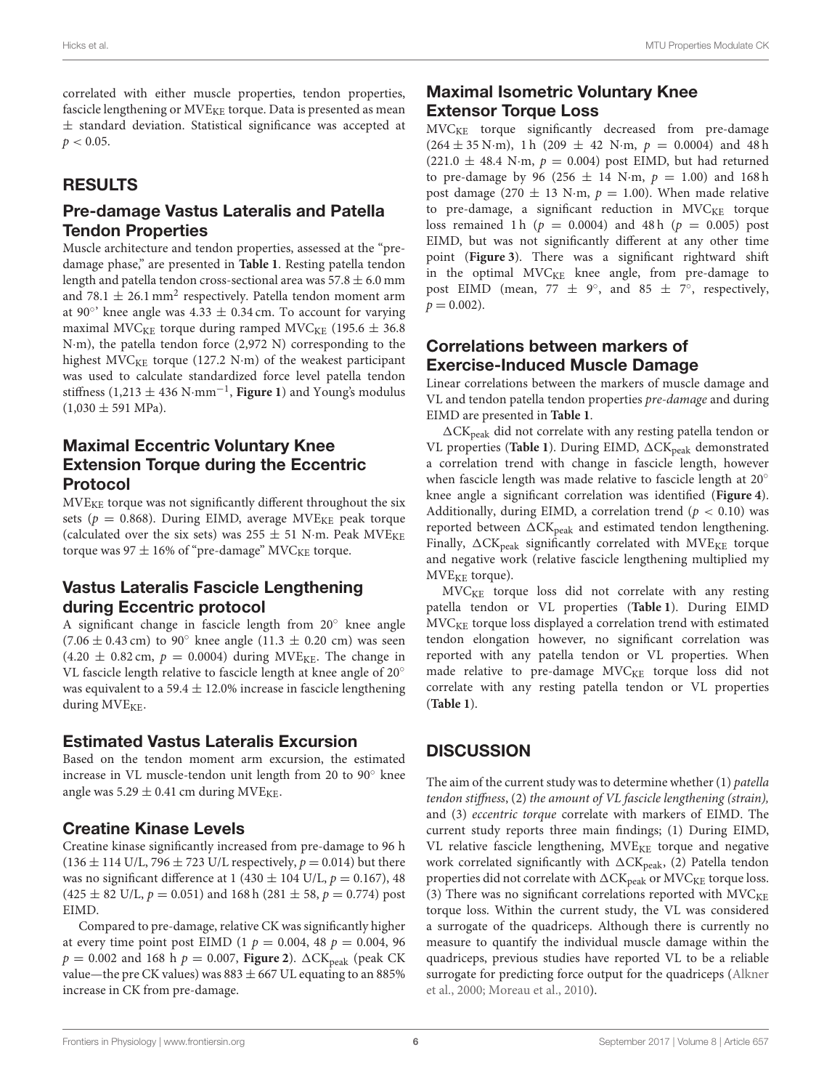correlated with either muscle properties, tendon properties, fascicle lengthening or MVE<sub>KE</sub> torque. Data is presented as mean ± standard deviation. Statistical significance was accepted at  $p < 0.05$ .

# RESULTS

### Pre-damage Vastus Lateralis and Patella Tendon Properties

Muscle architecture and tendon properties, assessed at the "predamage phase," are presented in **[Table 1](#page-6-0)**. Resting patella tendon length and patella tendon cross-sectional area was  $57.8 \pm 6.0$  mm and 78.1  $\pm$  26.1 mm $^{2}$  respectively. Patella tendon moment arm at 90°' knee angle was  $4.33 \pm 0.34$  cm. To account for varying maximal MVC<sub>KE</sub> torque during ramped MVC<sub>KE</sub> (195.6  $\pm$  36.8) N·m), the patella tendon force (2,972 N) corresponding to the highest MVC<sub>KE</sub> torque (127.2 N·m) of the weakest participant was used to calculate standardized force level patella tendon stiffness (1,213 ± 436 N·mm−<sup>1</sup> , **[Figure 1](#page-6-1)**) and Young's modulus  $(1,030 \pm 591 \text{ MPa}).$ 

# Maximal Eccentric Voluntary Knee Extension Torque during the Eccentric Protocol

MVEKE torque was not significantly different throughout the six sets ( $p = 0.868$ ). During EIMD, average MVE<sub>KE</sub> peak torque (calculated over the six sets) was  $255 \pm 51$  N·m. Peak MVE<sub>KE</sub> torque was 97  $\pm$  16% of "pre-damage" MVC<sub>KE</sub> torque.

# Vastus Lateralis Fascicle Lengthening during Eccentric protocol

A significant change in fascicle length from 20◦ knee angle  $(7.06 \pm 0.43 \text{ cm})$  to 90 $^{\circ}$  knee angle (11.3  $\pm$  0.20 cm) was seen  $(4.20 \pm 0.82 \text{ cm}, p = 0.0004)$  during MVE<sub>KE</sub>. The change in VL fascicle length relative to fascicle length at knee angle of 20◦ was equivalent to a 59.4  $\pm$  12.0% increase in fascicle lengthening during  $MVE_{KE}$ .

### Estimated Vastus Lateralis Excursion

Based on the tendon moment arm excursion, the estimated increase in VL muscle-tendon unit length from 20 to 90◦ knee angle was  $5.29 \pm 0.41$  cm during MVE<sub>KE</sub>.

# Creatine Kinase Levels

Creatine kinase significantly increased from pre-damage to 96 h  $(136 \pm 114 \text{ U/L}, 796 \pm 723 \text{ U/L}$  respectively,  $p = 0.014$ ) but there was no significant difference at 1 (430  $\pm$  104 U/L,  $p = 0.167$ ), 48  $(425 \pm 82 \text{ U/L}, p = 0.051)$  and 168 h  $(281 \pm 58, p = 0.774)$  post EIMD.

Compared to pre-damage, relative CK was significantly higher at every time point post EIMD (1  $p = 0.004$ , 48  $p = 0.004$ , 96  $p = 0.002$  and 168 h  $p = 0.007$ , **[Figure 2](#page-7-0)**).  $\Delta$ CK<sub>peak</sub> (peak CK value—the pre CK values) was  $883 \pm 667$  UL equating to an  $885\%$ increase in CK from pre-damage.

# Maximal Isometric Voluntary Knee **Extensor Torque Loss**

MVCKE torque significantly decreased from pre-damage  $(264 \pm 35 \text{ N} \cdot \text{m})$ , 1 h  $(209 \pm 42 \text{ N} \cdot \text{m})$ ,  $p = 0.0004$ ) and 48 h  $(221.0 \pm 48.4 \text{ N} \cdot \text{m}, p = 0.004)$  post EIMD, but had returned to pre-damage by 96 (256  $\pm$  14 N·m,  $p = 1.00$ ) and 168 h post damage (270  $\pm$  13 N·m,  $p = 1.00$ ). When made relative to pre-damage, a significant reduction in  $MVC<sub>KE</sub>$  torque loss remained 1 h ( $p = 0.0004$ ) and 48 h ( $p = 0.005$ ) post EIMD, but was not significantly different at any other time point (**[Figure 3](#page-7-1)**). There was a significant rightward shift in the optimal  $MVC<sub>KE</sub>$  knee angle, from pre-damage to post EIMD (mean, 77  $\pm$  9°, and 85  $\pm$  7°, respectively,  $p = 0.002$ ).

### Correlations between markers of Exercise-Induced Muscle Damage

Linear correlations between the markers of muscle damage and VL and tendon patella tendon properties pre-damage and during EIMD are presented in **[Table 1](#page-6-0)**.

 $\Delta$ CK<sub>peak</sub> did not correlate with any resting patella tendon or VL properties ([Table 1](#page-6-0)). During EIMD,  $\Delta$ CK<sub>peak</sub> demonstrated a correlation trend with change in fascicle length, however when fascicle length was made relative to fascicle length at 20◦ knee angle a significant correlation was identified (**[Figure 4](#page-8-0)**). Additionally, during EIMD, a correlation trend ( $p < 0.10$ ) was reported between  $\Delta C K_{peak}$  and estimated tendon lengthening. Finally,  $\Delta$ CK<sub>peak</sub> significantly correlated with MVE<sub>KE</sub> torque and negative work (relative fascicle lengthening multiplied my  $MVE<sub>KE</sub>$  torque).

 $MVC<sub>KE</sub>$  torque loss did not correlate with any resting patella tendon or VL properties (**[Table 1](#page-6-0)**). During EIMD  $MVC<sub>KE</sub>$  torque loss displayed a correlation trend with estimated tendon elongation however, no significant correlation was reported with any patella tendon or VL properties. When made relative to pre-damage  $MVC<sub>KE</sub>$  torque loss did not correlate with any resting patella tendon or VL properties (**[Table 1](#page-6-0)**).

# **DISCUSSION**

The aim of the current study was to determine whether (1) patella tendon stiffness, (2) the amount of VL fascicle lengthening (strain), and (3) eccentric torque correlate with markers of EIMD. The current study reports three main findings; (1) During EIMD, VL relative fascicle lengthening,  $MVE_{KE}$  torque and negative work correlated significantly with  $\Delta$ CK<sub>peak</sub>, (2) Patella tendon properties did not correlate with  $\Delta\text{CK}_\text{peak}$  or  $\text{MVC}_\text{KE}$  torque loss. (3) There was no significant correlations reported with  $MVC<sub>KE</sub>$ torque loss. Within the current study, the VL was considered a surrogate of the quadriceps. Although there is currently no measure to quantify the individual muscle damage within the quadriceps, previous studies have reported VL to be a reliable surrogate for predicting force output for the quadriceps (Alkner et al., [2000;](#page-9-14) [Moreau et al., 2010\)](#page-10-10).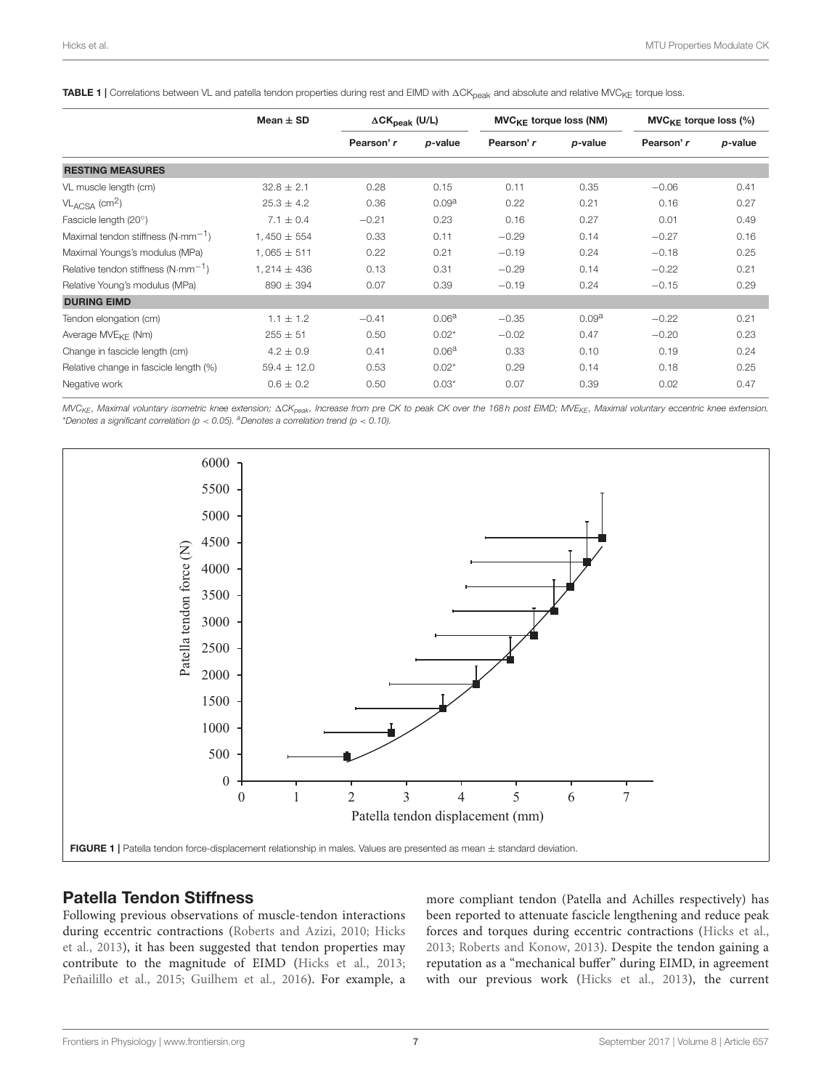<span id="page-6-0"></span>TABLE 1 | Correlations between VL and patella tendon properties during rest and EIMD with  $\Delta CK_{\text{peak}}$  and absolute and relative MVC<sub>KE</sub> torque loss.

|                                                       | Mean $\pm$ SD   | $\Delta$ CK <sub>peak</sub> (U/L) |                   | $MVC_{KF}$ torque loss (NM) |                   | $MVC_{KE}$ torque loss (%) |         |
|-------------------------------------------------------|-----------------|-----------------------------------|-------------------|-----------------------------|-------------------|----------------------------|---------|
|                                                       |                 | Pearson' r                        | p-value           | Pearson' r                  | p-value           | Pearson' r                 | p-value |
| <b>RESTING MEASURES</b>                               |                 |                                   |                   |                             |                   |                            |         |
| VL muscle length (cm)                                 | $32.8 \pm 2.1$  | 0.28                              | 0.15              | 0.11                        | 0.35              | $-0.06$                    | 0.41    |
| $VL_{ACSA}$ (cm <sup>2</sup> )                        | $25.3 \pm 4.2$  | 0.36                              | 0.09 <sup>a</sup> | 0.22                        | 0.21              | 0.16                       | 0.27    |
| Fascicle length (20°)                                 | $7.1 \pm 0.4$   | $-0.21$                           | 0.23              | 0.16                        | 0.27              | 0.01                       | 0.49    |
| Maximal tendon stiffness $(N\cdot$ mm <sup>-1</sup> ) | $1.450 \pm 554$ | 0.33                              | 0.11              | $-0.29$                     | 0.14              | $-0.27$                    | 0.16    |
| Maximal Youngs's modulus (MPa)                        | $1,065 \pm 511$ | 0.22                              | 0.21              | $-0.19$                     | 0.24              | $-0.18$                    | 0.25    |
| Relative tendon stiffness ( $N \cdot mm^{-1}$ )       | $1,214 \pm 436$ | 0.13                              | 0.31              | $-0.29$                     | 0.14              | $-0.22$                    | 0.21    |
| Relative Young's modulus (MPa)                        | $890 \pm 394$   | 0.07                              | 0.39              | $-0.19$                     | 0.24              | $-0.15$                    | 0.29    |
| <b>DURING EIMD</b>                                    |                 |                                   |                   |                             |                   |                            |         |
| Tendon elongation (cm)                                | $1.1 \pm 1.2$   | $-0.41$                           | 0.06 <sup>a</sup> | $-0.35$                     | 0.09 <sup>a</sup> | $-0.22$                    | 0.21    |
| Average MVE <sub>KF</sub> (Nm)                        | $255 \pm 51$    | 0.50                              | $0.02*$           | $-0.02$                     | 0.47              | $-0.20$                    | 0.23    |
| Change in fascicle length (cm)                        | $4.2 \pm 0.9$   | 0.41                              | 0.06 <sup>a</sup> | 0.33                        | 0.10              | 0.19                       | 0.24    |
| Relative change in fascicle length (%)                | $59.4 \pm 12.0$ | 0.53                              | $0.02*$           | 0.29                        | 0.14              | 0.18                       | 0.25    |
| Negative work                                         | $0.6 \pm 0.2$   | 0.50                              | $0.03*$           | 0.07                        | 0.39              | 0.02                       | 0.47    |

MVC<sub>KE</sub>, Maximal voluntary isometric knee extension; ACK<sub>peak</sub>, Increase from pre CK to peak CK over the 168h post EIMD; MVE<sub>KE</sub>, Maximal voluntary eccentric knee extension. \*Denotes a significant correlation ( $p < 0.05$ ). <sup>a</sup>Denotes a correlation trend ( $p < 0.10$ ).



#### <span id="page-6-1"></span>Patella Tendon Stiffness

Following previous observations of muscle-tendon interactions during eccentric contractions [\(Roberts and Azizi, 2010;](#page-10-4) Hicks et al., [2013\)](#page-9-6), it has been suggested that tendon properties may contribute to the magnitude of EIMD [\(Hicks et al., 2013;](#page-9-6) [Peñailillo et al., 2015;](#page-10-0) [Guilhem et al., 2016\)](#page-9-1). For example, a more compliant tendon (Patella and Achilles respectively) has been reported to attenuate fascicle lengthening and reduce peak forces and torques during eccentric contractions [\(Hicks et al.,](#page-9-6) [2013;](#page-9-6) [Roberts and Konow, 2013\)](#page-10-11). Despite the tendon gaining a reputation as a "mechanical buffer" during EIMD, in agreement with our previous work [\(Hicks et al., 2013\)](#page-9-6), the current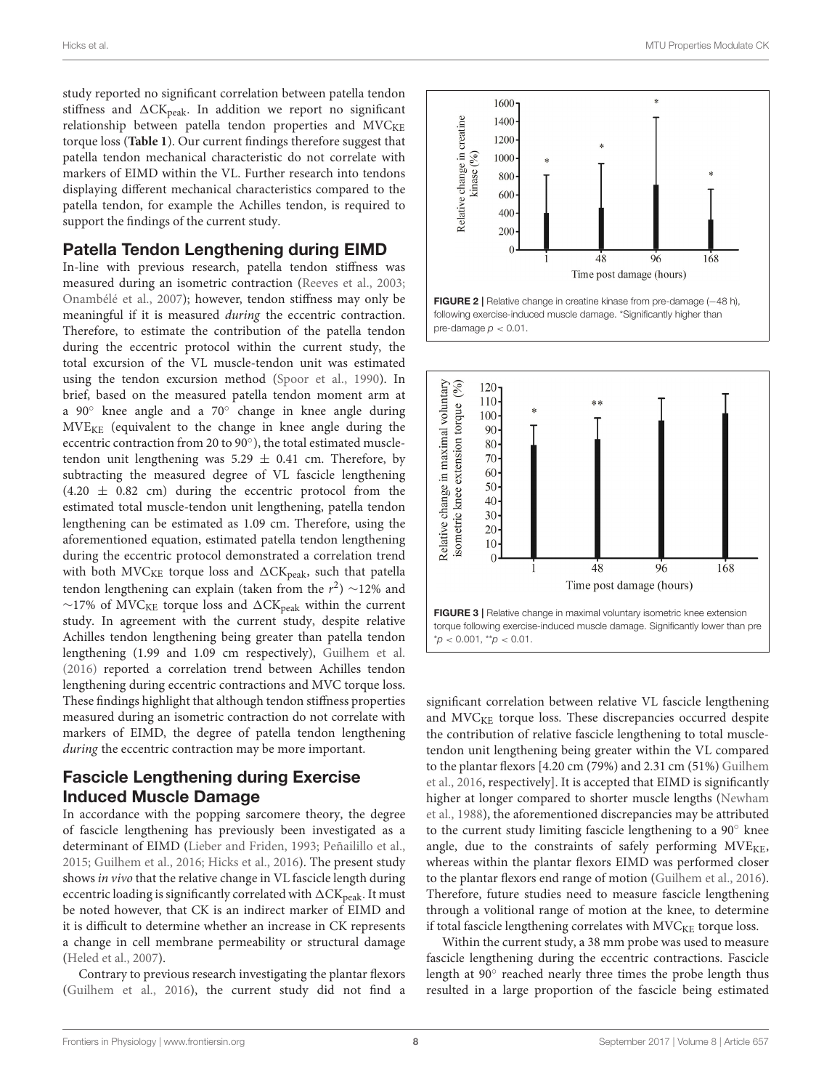study reported no significant correlation between patella tendon stiffness and  $\Delta$ CK<sub>peak</sub>. In addition we report no significant relationship between patella tendon properties and  $MVC<sub>KE</sub>$ torque loss (**[Table 1](#page-6-0)**). Our current findings therefore suggest that patella tendon mechanical characteristic do not correlate with markers of EIMD within the VL. Further research into tendons displaying different mechanical characteristics compared to the patella tendon, for example the Achilles tendon, is required to support the findings of the current study.

#### Patella Tendon Lengthening during EIMD

In-line with previous research, patella tendon stiffness was measured during an isometric contraction [\(Reeves et al., 2003;](#page-10-12) [Onambélé et al., 2007\)](#page-10-6); however, tendon stiffness may only be meaningful if it is measured during the eccentric contraction. Therefore, to estimate the contribution of the patella tendon during the eccentric protocol within the current study, the total excursion of the VL muscle-tendon unit was estimated using the tendon excursion method [\(Spoor et al., 1990\)](#page-10-9). In brief, based on the measured patella tendon moment arm at a 90◦ knee angle and a 70◦ change in knee angle during  $MVE<sub>KE</sub>$  (equivalent to the change in knee angle during the eccentric contraction from 20 to 90°), the total estimated muscletendon unit lengthening was  $5.29 \pm 0.41$  cm. Therefore, by subtracting the measured degree of VL fascicle lengthening  $(4.20 \pm 0.82 \text{ cm})$  during the eccentric protocol from the estimated total muscle-tendon unit lengthening, patella tendon lengthening can be estimated as 1.09 cm. Therefore, using the aforementioned equation, estimated patella tendon lengthening during the eccentric protocol demonstrated a correlation trend with both MVC<sub>KE</sub> torque loss and  $\Delta$ CK<sub>peak</sub>, such that patella tendon lengthening can explain (taken from the  $r^2) \sim$ 12% and  $∼17%$  of MVC<sub>KE</sub> torque loss and ∆CK<sub>peak</sub> within the current study. In agreement with the current study, despite relative Achilles tendon lengthening being greater than patella tendon lengthening (1.99 and 1.09 cm respectively), [Guilhem et al.](#page-9-1) [\(2016\)](#page-9-1) reported a correlation trend between Achilles tendon lengthening during eccentric contractions and MVC torque loss. These findings highlight that although tendon stiffness properties measured during an isometric contraction do not correlate with markers of EIMD, the degree of patella tendon lengthening during the eccentric contraction may be more important.

#### Fascicle Lengthening during Exercise Induced Muscle Damage

In accordance with the popping sarcomere theory, the degree of fascicle lengthening has previously been investigated as a determinant of EIMD [\(Lieber and Friden, 1993;](#page-9-0) [Peñailillo et al.,](#page-10-0) [2015;](#page-10-0) [Guilhem et al., 2016;](#page-9-1) [Hicks et al., 2016\)](#page-9-7). The present study shows in vivo that the relative change in VL fascicle length during eccentric loading is significantly correlated with  $\Delta\text{CK}_\text{peak}$ . It must be noted however, that CK is an indirect marker of EIMD and it is difficult to determine whether an increase in CK represents a change in cell membrane permeability or structural damage [\(Heled et al., 2007\)](#page-9-15).

Contrary to previous research investigating the plantar flexors [\(Guilhem et al., 2016\)](#page-9-1), the current study did not find a



<span id="page-7-0"></span>

<span id="page-7-1"></span>significant correlation between relative VL fascicle lengthening and MVC<sub>KE</sub> torque loss. These discrepancies occurred despite the contribution of relative fascicle lengthening to total muscletendon unit lengthening being greater within the VL compared to the plantar flexors [4.20 cm (79%) and 2.31 cm (51%) Guilhem et al., [2016,](#page-9-1) respectively]. It is accepted that EIMD is significantly higher at longer compared to shorter muscle lengths (Newham et al., [1988\)](#page-10-13), the aforementioned discrepancies may be attributed to the current study limiting fascicle lengthening to a 90◦ knee angle, due to the constraints of safely performing  $MVE_{KE}$ , whereas within the plantar flexors EIMD was performed closer to the plantar flexors end range of motion [\(Guilhem et al., 2016\)](#page-9-1). Therefore, future studies need to measure fascicle lengthening through a volitional range of motion at the knee, to determine if total fascicle lengthening correlates with  $MVC<sub>KE</sub>$  torque loss.

Within the current study, a 38 mm probe was used to measure fascicle lengthening during the eccentric contractions. Fascicle length at 90° reached nearly three times the probe length thus resulted in a large proportion of the fascicle being estimated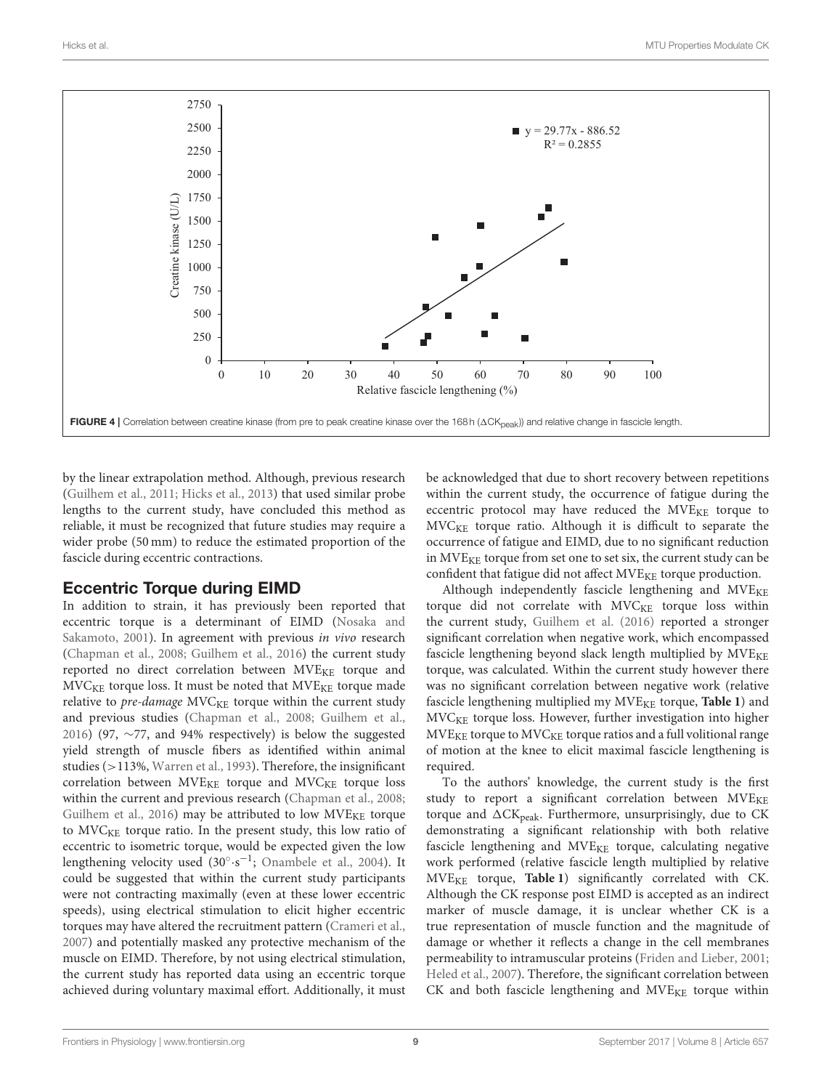

<span id="page-8-0"></span>by the linear extrapolation method. Although, previous research [\(Guilhem et al., 2011;](#page-9-13) [Hicks et al., 2013\)](#page-9-6) that used similar probe lengths to the current study, have concluded this method as reliable, it must be recognized that future studies may require a wider probe (50 mm) to reduce the estimated proportion of the fascicle during eccentric contractions.

#### Eccentric Torque during EIMD

In addition to strain, it has previously been reported that eccentric torque is a determinant of EIMD (Nosaka and Sakamoto, [2001\)](#page-10-14). In agreement with previous in vivo research [\(Chapman et al., 2008;](#page-9-2) [Guilhem et al., 2016\)](#page-9-1) the current study reported no direct correlation between MVE<sub>KE</sub> torque and  $MVC<sub>KE</sub>$  torque loss. It must be noted that  $MVE<sub>KE</sub>$  torque made relative to  $pre$ -damage  $MVC<sub>KE</sub>$  torque within the current study and previous studies [\(Chapman et al., 2008;](#page-9-2) [Guilhem et al.,](#page-9-1) [2016\)](#page-9-1) (97,  $\sim$ 77, and 94% respectively) is below the suggested yield strength of muscle fibers as identified within animal studies (>113%, [Warren et al., 1993\)](#page-10-1). Therefore, the insignificant correlation between  $MVE_{KE}$  torque and  $MVC_{KE}$  torque loss within the current and previous research [\(Chapman et al., 2008;](#page-9-2) [Guilhem et al., 2016\)](#page-9-1) may be attributed to low  $MVE_{KE}$  torque to MVC<sub>KE</sub> torque ratio. In the present study, this low ratio of eccentric to isometric torque, would be expected given the low lengthening velocity used  $(30^\circ \cdot s^{-1})$ ; [Onambele et al., 2004\)](#page-10-15). It could be suggested that within the current study participants were not contracting maximally (even at these lower eccentric speeds), using electrical stimulation to elicit higher eccentric torques may have altered the recruitment pattern [\(Crameri et al.,](#page-9-16) [2007\)](#page-9-16) and potentially masked any protective mechanism of the muscle on EIMD. Therefore, by not using electrical stimulation, the current study has reported data using an eccentric torque achieved during voluntary maximal effort. Additionally, it must be acknowledged that due to short recovery between repetitions within the current study, the occurrence of fatigue during the eccentric protocol may have reduced the MVE<sub>KE</sub> torque to  $MVC<sub>KF</sub>$  torque ratio. Although it is difficult to separate the occurrence of fatigue and EIMD, due to no significant reduction in MVE<sub>KE</sub> torque from set one to set six, the current study can be confident that fatigue did not affect  $MVE_{KE}$  torque production.

Although independently fascicle lengthening and  $MVE_{KE}$ torque did not correlate with  $MVC<sub>KE</sub>$  torque loss within the current study, [Guilhem et al. \(2016\)](#page-9-1) reported a stronger significant correlation when negative work, which encompassed fascicle lengthening beyond slack length multiplied by MVE<sub>KE</sub> torque, was calculated. Within the current study however there was no significant correlation between negative work (relative fascicle lengthening multiplied my MVE<sub>KE</sub> torque, [Table 1](#page-6-0)) and MVC<sub>KE</sub> torque loss. However, further investigation into higher  $MVE_{KE}$  torque to  $MVE_{KE}$  torque ratios and a full volitional range of motion at the knee to elicit maximal fascicle lengthening is required.

To the authors' knowledge, the current study is the first study to report a significant correlation between  $MVE_{KE}$ torque and  $\Delta$ CK<sub>peak</sub>. Furthermore, unsurprisingly, due to CK demonstrating a significant relationship with both relative fascicle lengthening and  $MVE_{KE}$  torque, calculating negative work performed (relative fascicle length multiplied by relative MVEKE torque, **[Table 1](#page-6-0)**) significantly correlated with CK. Although the CK response post EIMD is accepted as an indirect marker of muscle damage, it is unclear whether CK is a true representation of muscle function and the magnitude of damage or whether it reflects a change in the cell membranes permeability to intramuscular proteins [\(Friden and Lieber, 2001;](#page-9-17) [Heled et al., 2007\)](#page-9-15). Therefore, the significant correlation between  $CK$  and both fascicle lengthening and  $MVE_{KE}$  torque within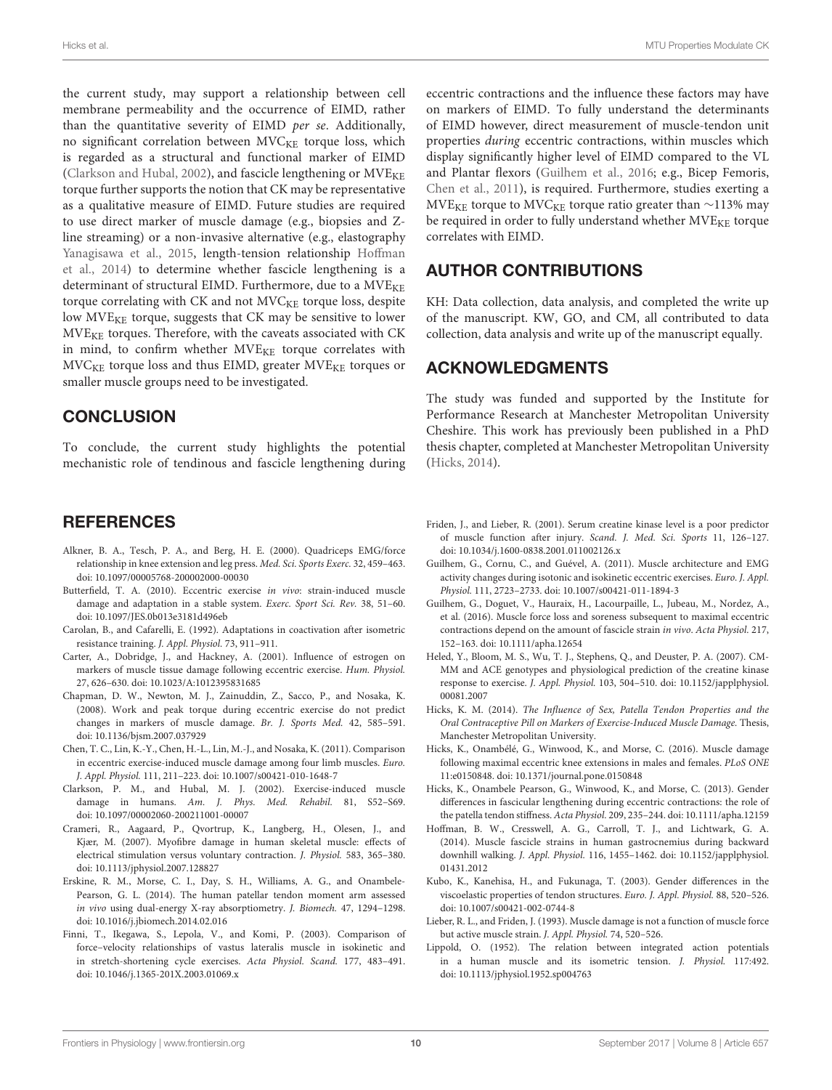the current study, may support a relationship between cell membrane permeability and the occurrence of EIMD, rather than the quantitative severity of EIMD per se. Additionally, no significant correlation between MVC<sub>KE</sub> torque loss, which is regarded as a structural and functional marker of EIMD [\(Clarkson and Hubal, 2002\)](#page-9-18), and fascicle lengthening or  $MVE_{KE}$ torque further supports the notion that CK may be representative as a qualitative measure of EIMD. Future studies are required to use direct marker of muscle damage (e.g., biopsies and Zline streaming) or a non-invasive alternative (e.g., elastography [Yanagisawa et al., 2015,](#page-10-16) length-tension relationship Hoffman et al., [2014\)](#page-9-4) to determine whether fascicle lengthening is a determinant of structural EIMD. Furthermore, due to a MVE<sub>KE</sub> torque correlating with CK and not MVC<sub>KE</sub> torque loss, despite low MVE<sub>KE</sub> torque, suggests that CK may be sensitive to lower  $MVE<sub>KE</sub>$  torques. Therefore, with the caveats associated with CK in mind, to confirm whether MVE<sub>KE</sub> torque correlates with  $MVC<sub>KE</sub>$  torque loss and thus EIMD, greater  $MVE<sub>KE</sub>$  torques or smaller muscle groups need to be investigated.

### **CONCLUSION**

To conclude, the current study highlights the potential mechanistic role of tendinous and fascicle lengthening during

#### **REFERENCES**

- <span id="page-9-14"></span>Alkner, B. A., Tesch, P. A., and Berg, H. E. (2000). Quadriceps EMG/force relationship in knee extension and leg press. Med. Sci. Sports Exerc. 32, 459–463. doi: [10.1097/00005768-200002000-00030](https://doi.org/10.1097/00005768-200002000-00030)
- <span id="page-9-5"></span>Butterfield, T. A. (2010). Eccentric exercise in vivo: strain-induced muscle damage and adaptation in a stable system. Exerc. Sport Sci. Rev. 38, 51–60. doi: [10.1097/JES.0b013e3181d496eb](https://doi.org/10.1097/JES.0b013e3181d496eb)
- <span id="page-9-10"></span>Carolan, B., and Cafarelli, E. (1992). Adaptations in coactivation after isometric resistance training. J. Appl. Physiol. 73, 911–911.
- <span id="page-9-3"></span>Carter, A., Dobridge, J., and Hackney, A. (2001). Influence of estrogen on markers of muscle tissue damage following eccentric exercise. Hum. Physiol. 27, 626–630. doi: [10.1023/A:1012395831685](https://doi.org/10.1023/A:1012395831685)
- <span id="page-9-2"></span>Chapman, D. W., Newton, M. J., Zainuddin, Z., Sacco, P., and Nosaka, K. (2008). Work and peak torque during eccentric exercise do not predict changes in markers of muscle damage. Br. J. Sports Med. 42, 585–591. doi: [10.1136/bjsm.2007.037929](https://doi.org/10.1136/bjsm.2007.037929)
- <span id="page-9-19"></span>Chen, T. C., Lin, K.-Y., Chen, H.-L., Lin, M.-J., and Nosaka, K. (2011). Comparison in eccentric exercise-induced muscle damage among four limb muscles. Euro. J. Appl. Physiol. 111, 211–223. doi: [10.1007/s00421-010-1648-7](https://doi.org/10.1007/s00421-010-1648-7)
- <span id="page-9-18"></span>Clarkson, P. M., and Hubal, M. J. (2002). Exercise-induced muscle damage in humans. Am. J. Phys. Med. Rehabil. 81, S52–S69. doi: [10.1097/00002060-200211001-00007](https://doi.org/10.1097/00002060-200211001-00007)
- <span id="page-9-16"></span>Crameri, R., Aagaard, P., Qvortrup, K., Langberg, H., Olesen, J., and Kjær, M. (2007). Myofibre damage in human skeletal muscle: effects of electrical stimulation versus voluntary contraction. J. Physiol. 583, 365–380. doi: [10.1113/jphysiol.2007.128827](https://doi.org/10.1113/jphysiol.2007.128827)
- <span id="page-9-9"></span>Erskine, R. M., Morse, C. I., Day, S. H., Williams, A. G., and Onambele-Pearson, G. L. (2014). The human patellar tendon moment arm assessed in vivo using dual-energy X-ray absorptiometry. J. Biomech. 47, 1294–1298. doi: [10.1016/j.jbiomech.2014.02.016](https://doi.org/10.1016/j.jbiomech.2014.02.016)
- <span id="page-9-12"></span>Finni, T., Ikegawa, S., Lepola, V., and Komi, P. (2003). Comparison of force–velocity relationships of vastus lateralis muscle in isokinetic and in stretch-shortening cycle exercises. Acta Physiol. Scand. 177, 483–491. doi: [10.1046/j.1365-201X.2003.01069.x](https://doi.org/10.1046/j.1365-201X.2003.01069.x)

eccentric contractions and the influence these factors may have on markers of EIMD. To fully understand the determinants of EIMD however, direct measurement of muscle-tendon unit properties during eccentric contractions, within muscles which display significantly higher level of EIMD compared to the VL and Plantar flexors [\(Guilhem et al., 2016;](#page-9-1) e.g., Bicep Femoris, [Chen et al., 2011\)](#page-9-19), is required. Furthermore, studies exerting a MVE<sub>KE</sub> torque to MVC<sub>KE</sub> torque ratio greater than ∼113% may be required in order to fully understand whether  $MVE_{KE}$  torque correlates with EIMD.

#### AUTHOR CONTRIBUTIONS

KH: Data collection, data analysis, and completed the write up of the manuscript. KW, GO, and CM, all contributed to data collection, data analysis and write up of the manuscript equally.

#### ACKNOWLEDGMENTS

The study was funded and supported by the Institute for Performance Research at Manchester Metropolitan University Cheshire. This work has previously been published in a PhD thesis chapter, completed at Manchester Metropolitan University [\(Hicks, 2014\)](#page-9-20).

- <span id="page-9-17"></span>Friden, J., and Lieber, R. (2001). Serum creatine kinase level is a poor predictor of muscle function after injury. Scand. J. Med. Sci. Sports 11, 126–127. doi: [10.1034/j.1600-0838.2001.011002126.x](https://doi.org/10.1034/j.1600-0838.2001.011002126.x)
- <span id="page-9-13"></span>Guilhem, G., Cornu, C., and Guével, A. (2011). Muscle architecture and EMG activity changes during isotonic and isokinetic eccentric exercises. Euro. J. Appl. Physiol. 111, 2723–2733. doi: [10.1007/s00421-011-1894-3](https://doi.org/10.1007/s00421-011-1894-3)
- <span id="page-9-1"></span>Guilhem, G., Doguet, V., Hauraix, H., Lacourpaille, L., Jubeau, M., Nordez, A., et al. (2016). Muscle force loss and soreness subsequent to maximal eccentric contractions depend on the amount of fascicle strain in vivo. Acta Physiol. 217, 152–163. doi: [10.1111/apha.12654](https://doi.org/10.1111/apha.12654)
- <span id="page-9-15"></span>Heled, Y., Bloom, M. S., Wu, T. J., Stephens, Q., and Deuster, P. A. (2007). CM-MM and ACE genotypes and physiological prediction of the creatine kinase response to exercise. J. Appl. Physiol. [103, 504–510. doi: 10.1152/japplphysiol.](https://doi.org/10.1152/japplphysiol.00081.2007) 00081.2007
- <span id="page-9-20"></span>Hicks, K. M. (2014). The Influence of Sex, Patella Tendon Properties and the Oral Contraceptive Pill on Markers of Exercise-Induced Muscle Damage. Thesis, Manchester Metropolitan University.
- <span id="page-9-7"></span>Hicks, K., Onambélé, G., Winwood, K., and Morse, C. (2016). Muscle damage following maximal eccentric knee extensions in males and females. PLoS ONE 11:e0150848. doi: [10.1371/journal.pone.0150848](https://doi.org/10.1371/journal.pone.0150848)
- <span id="page-9-6"></span>Hicks, K., Onambele Pearson, G., Winwood, K., and Morse, C. (2013). Gender differences in fascicular lengthening during eccentric contractions: the role of the patella tendon stiffness. Acta Physiol. 209, 235–244. doi: [10.1111/apha.12159](https://doi.org/10.1111/apha.12159)
- <span id="page-9-4"></span>Hoffman, B. W., Cresswell, A. G., Carroll, T. J., and Lichtwark, G. A. (2014). Muscle fascicle strains in human gastrocnemius during backward downhill walking. J. Appl. Physiol. [116, 1455–1462. doi: 10.1152/japplphysiol.](https://doi.org/10.1152/japplphysiol.01431.2012) 01431.2012
- <span id="page-9-8"></span>Kubo, K., Kanehisa, H., and Fukunaga, T. (2003). Gender differences in the viscoelastic properties of tendon structures. Euro. J. Appl. Physiol. 88, 520–526. doi: [10.1007/s00421-002-0744-8](https://doi.org/10.1007/s00421-002-0744-8)
- <span id="page-9-0"></span>Lieber, R. L., and Friden, J. (1993). Muscle damage is not a function of muscle force but active muscle strain. J. Appl. Physiol. 74, 520–526.
- <span id="page-9-11"></span>Lippold, O. (1952). The relation between integrated action potentials in a human muscle and its isometric tension. J. Physiol. 117:492. doi: [10.1113/jphysiol.1952.sp004763](https://doi.org/10.1113/jphysiol.1952.sp004763)